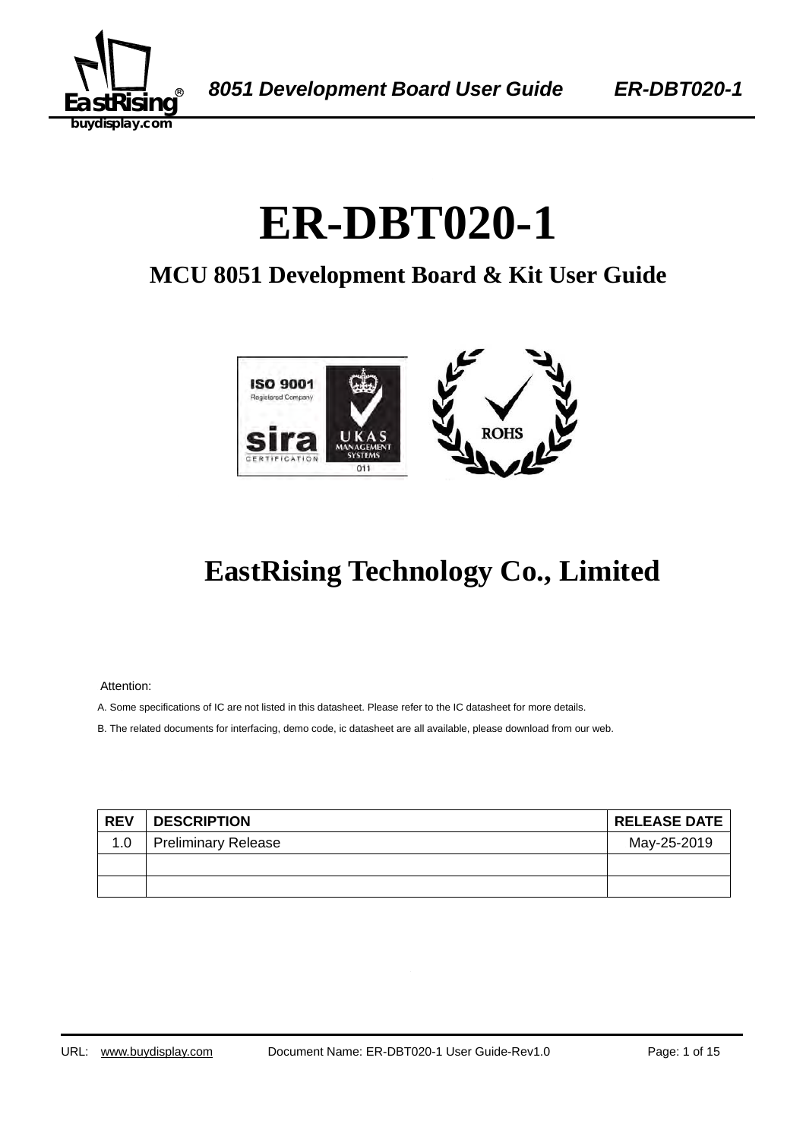

# ER-DBT020-1

## **MCU 8051 Development Board & Kit User Guide**



## **EastRising Technology Co., Limited**

Attention:

A. Some specifications of IC are not listed in this datasheet. Please refer to the IC datasheet for more details.

B. The related documents for interfacing, demo code, ic datasheet are all available, please download from our web.

| <b>REV</b> | <b>DESCRIPTION</b>  | <b>RELEASE DATE</b> |
|------------|---------------------|---------------------|
| 1.0        | Preliminary Release | May-25-2019         |
|            |                     |                     |
|            |                     |                     |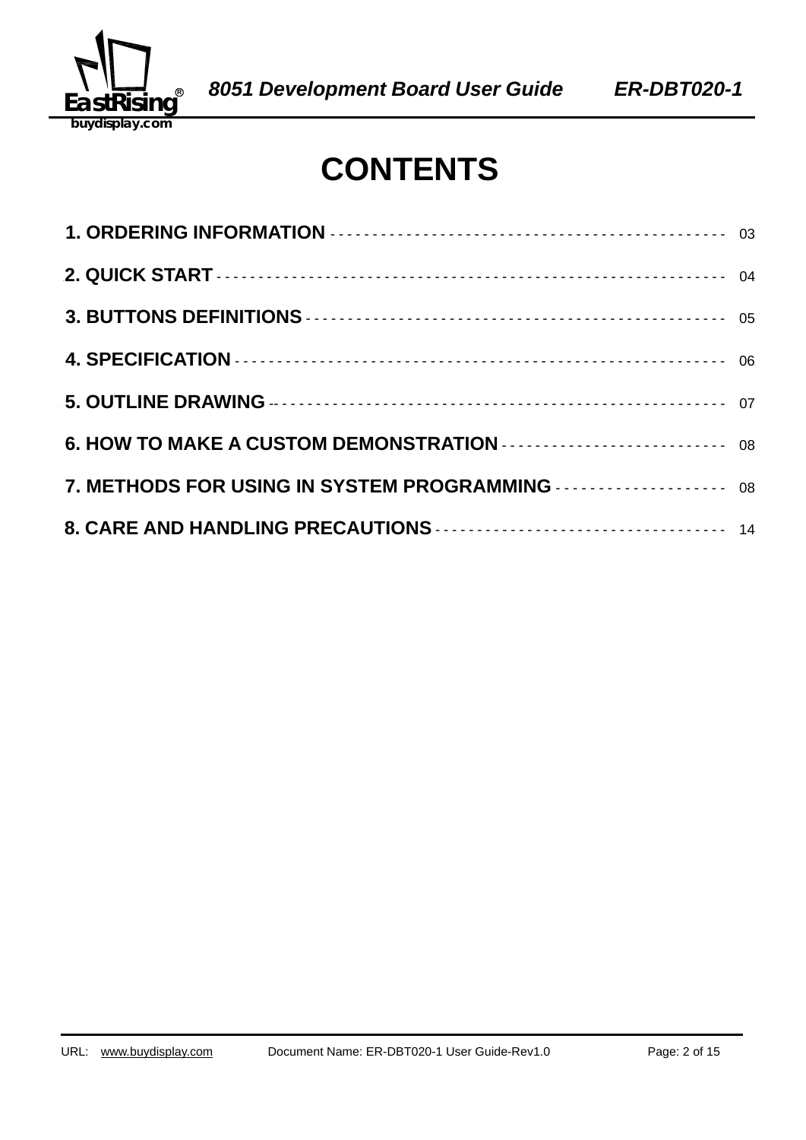

## **CONTENTS**

| 7. METHODS FOR USING IN SYSTEM PROGRAMMING  08 |
|------------------------------------------------|
|                                                |
|                                                |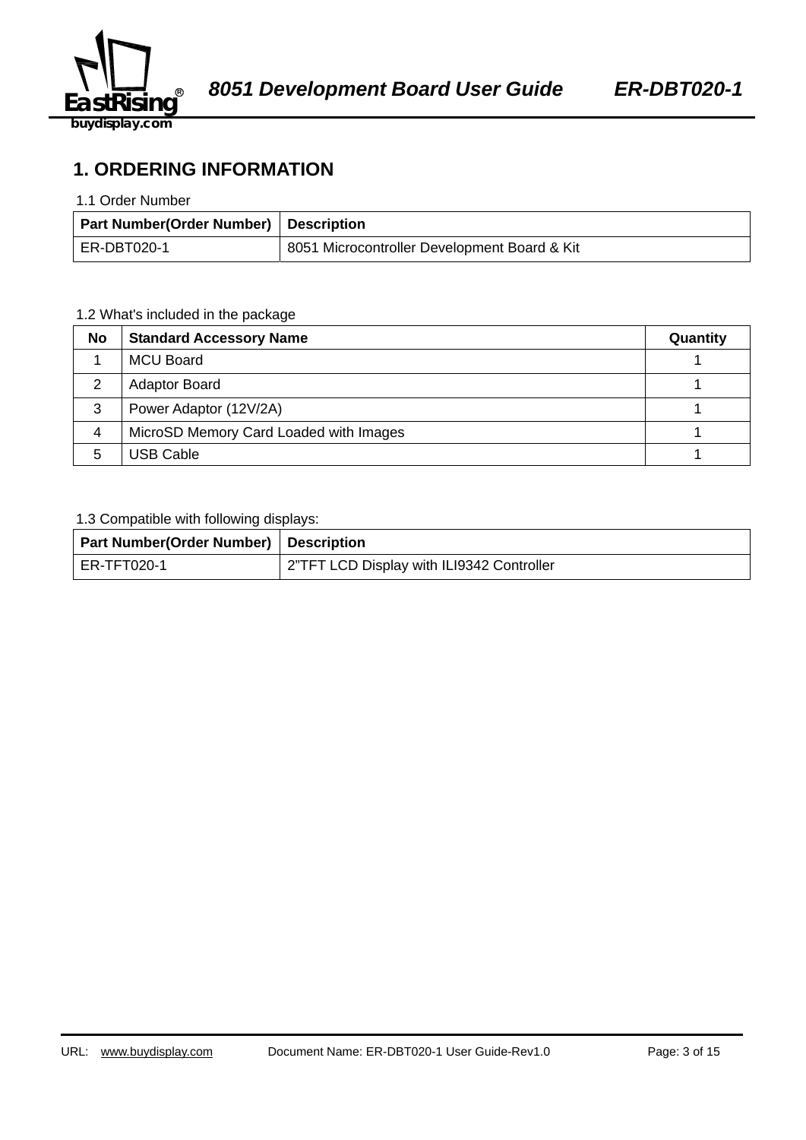

**1. ORDERING INFORMATION** 

#### 1.1 Order Number

| Part Number(Order Number)   Description |                                              |
|-----------------------------------------|----------------------------------------------|
| ER-DBT020-1                             | 8051 Microcontroller Development Board & Kit |

#### 1.2 What's included in the package

| No | <b>Standard Accessory Name</b>         | Quantity |
|----|----------------------------------------|----------|
|    | <b>MCU Board</b>                       |          |
| 2  | <b>Adaptor Board</b>                   |          |
| 3  | Power Adaptor (12V/2A)                 |          |
| 4  | MicroSD Memory Card Loaded with Images |          |
| 5  | <b>USB Cable</b>                       |          |

#### 1.3 Compatible with following displays:

| Part Number(Order Number) Description |                                           |
|---------------------------------------|-------------------------------------------|
| l ER-TFT020-1                         | 2"TFT LCD Display with ILI9342 Controller |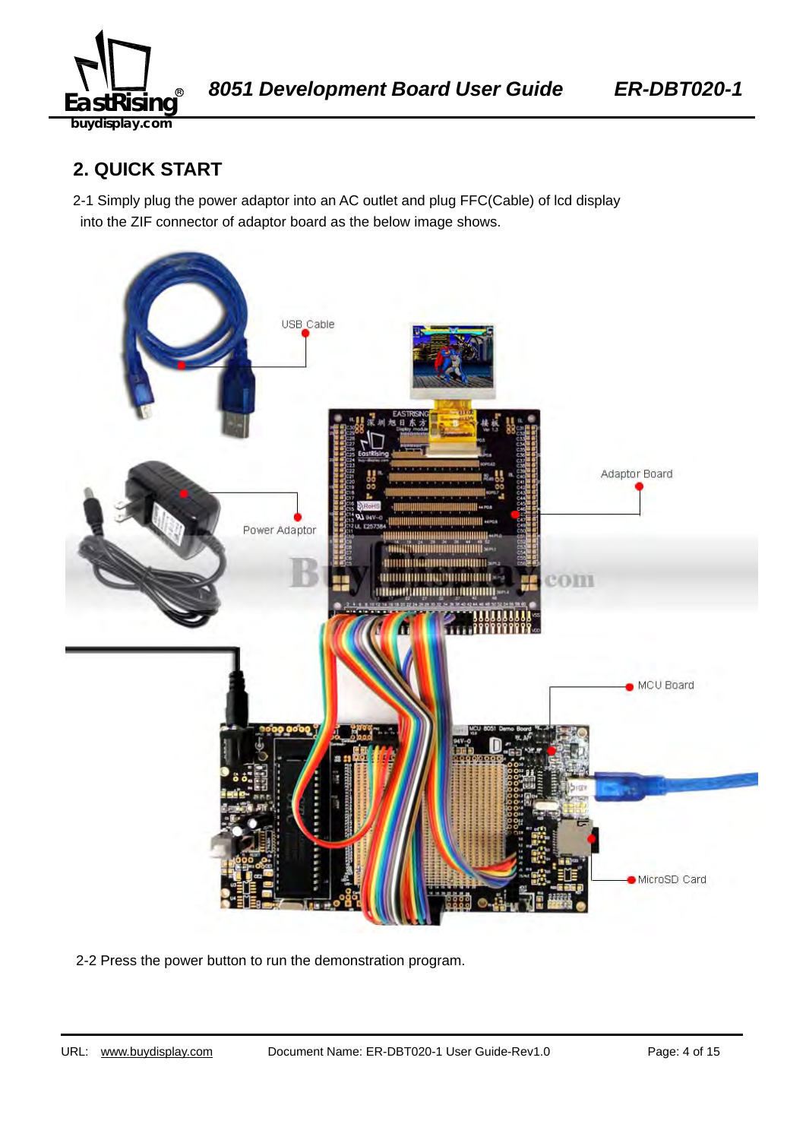

## **2. QUICK START**

2-1 Simply plug the power adaptor into an AC outlet and plug FFC(Cable) of lcd display into the ZIF connector of adaptor board as the below image shows.



2-2 Press the power button to run the demonstration program.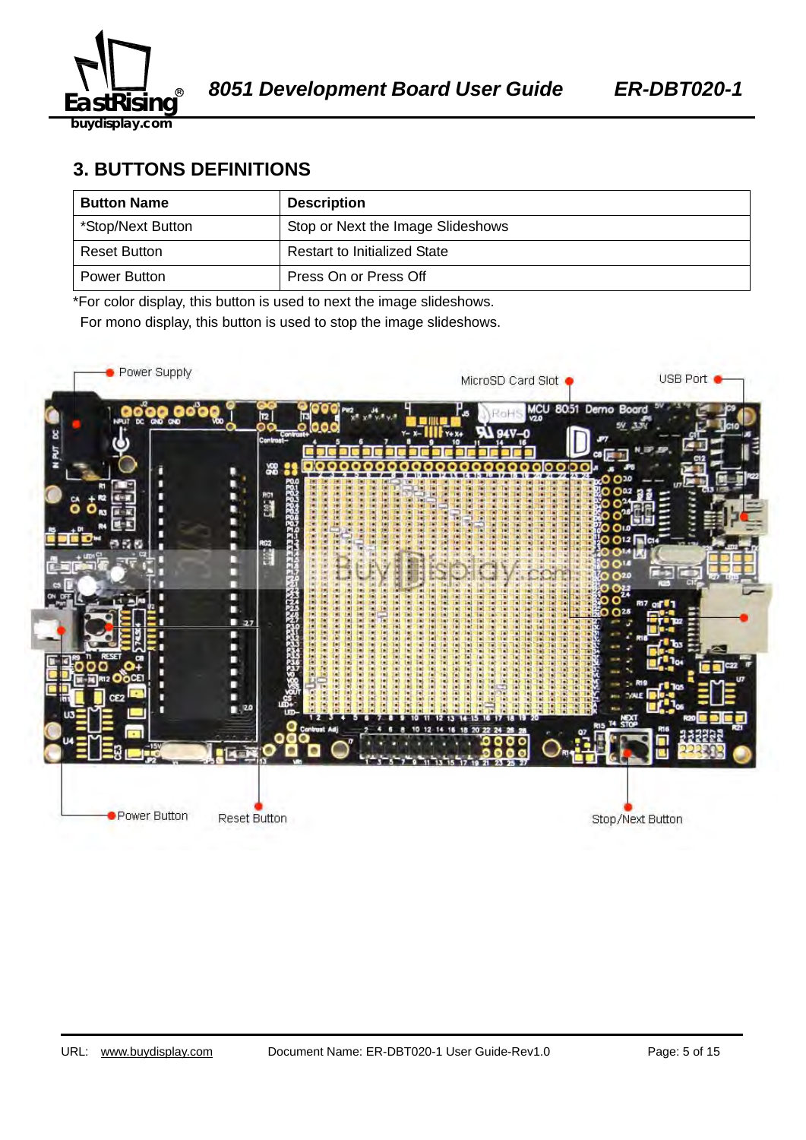

## **3. BUTTONS DEFINITIONS**

| <b>Button Name</b>  | <b>Description</b>                  |
|---------------------|-------------------------------------|
| *Stop/Next Button   | Stop or Next the Image Slideshows   |
| <b>Reset Button</b> | <b>Restart to Initialized State</b> |
| Power Button        | Press On or Press Off               |

\*For color display, this button is used to next the image slideshows.

For mono display, this button is used to stop the image slideshows.

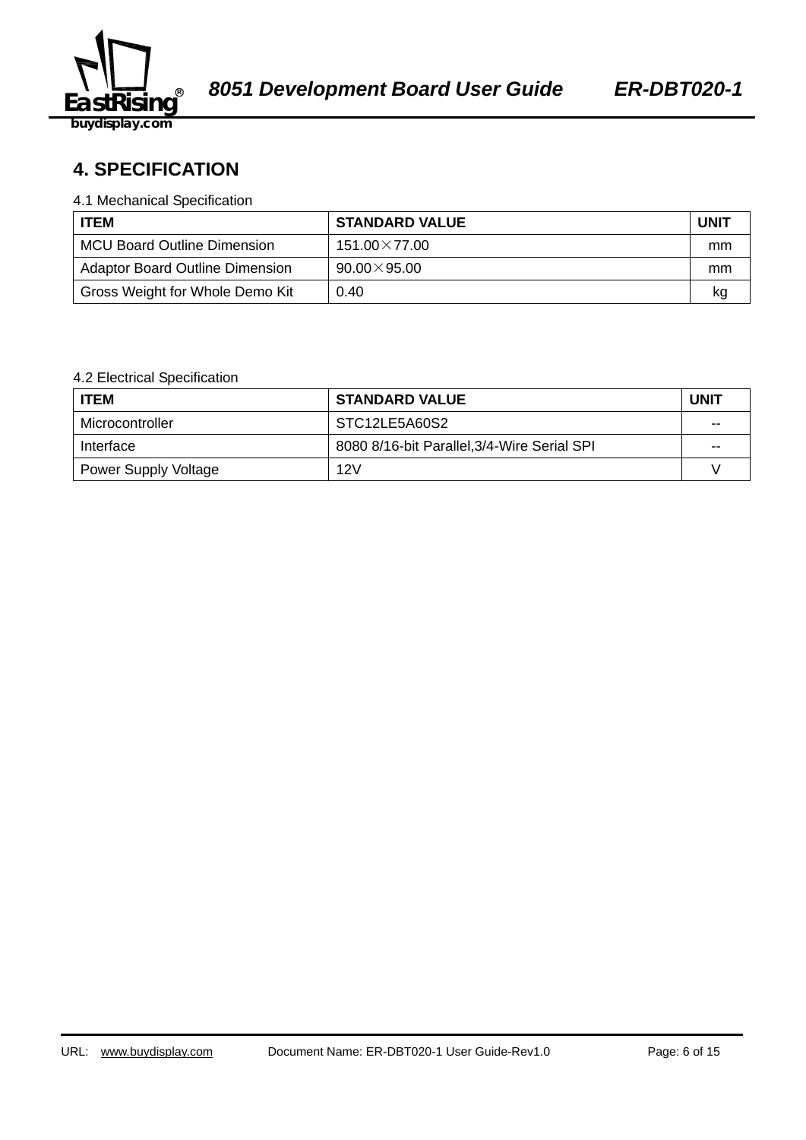

## 58B2140359**4. SPECIFICATION**

#### 4.1 Mechanical Specification

| <b>ITEM</b>                            | <b>STANDARD VALUE</b> | <b>UNIT</b> |
|----------------------------------------|-----------------------|-------------|
| <b>MCU Board Outline Dimension</b>     | $151.00\times77.00$   | mm          |
| <b>Adaptor Board Outline Dimension</b> | $90.00 \times 95.00$  | mm          |
| Gross Weight for Whole Demo Kit        | 0.40                  | kq          |

#### 4.2 Electrical Specification

| <b>ITEM</b>                 | <b>STANDARD VALUE</b>                       | UNIT |
|-----------------------------|---------------------------------------------|------|
| Microcontroller             | STC12LE5A60S2                               | --   |
| Interface                   | 8080 8/16-bit Parallel, 3/4-Wire Serial SPI | --   |
| <b>Power Supply Voltage</b> | 12V                                         |      |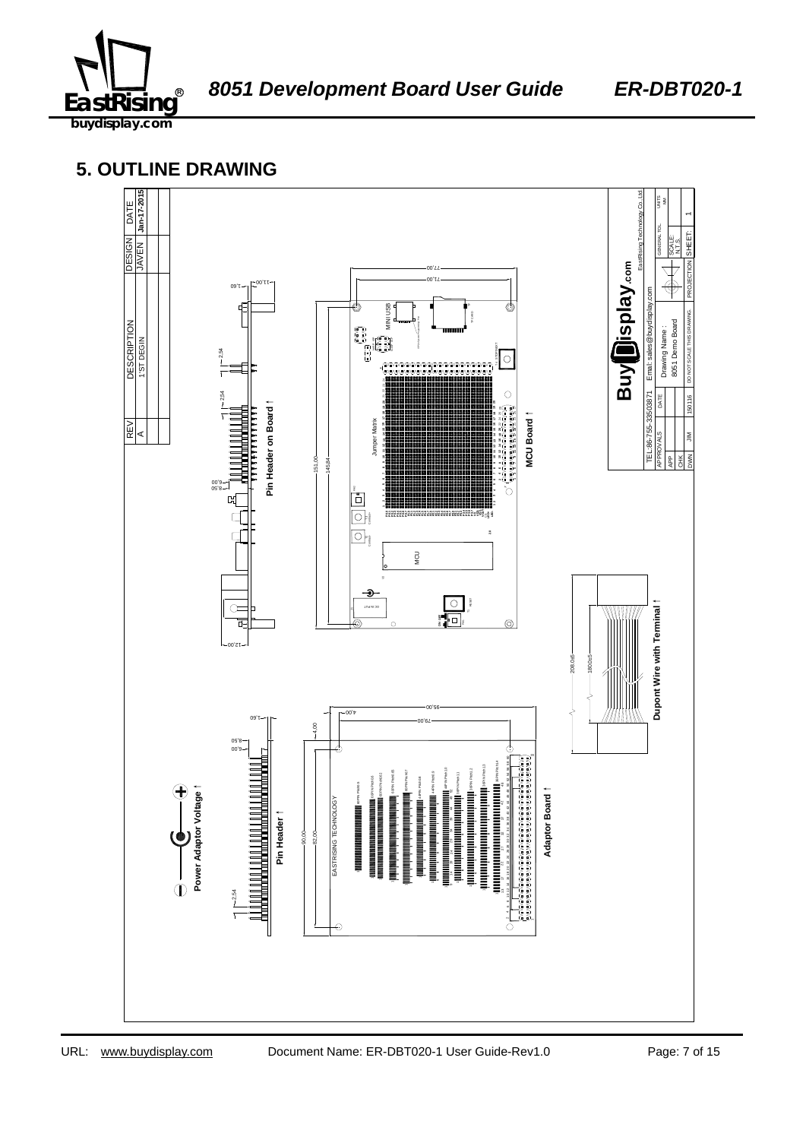

**5. OUTLINE DRAWING** 

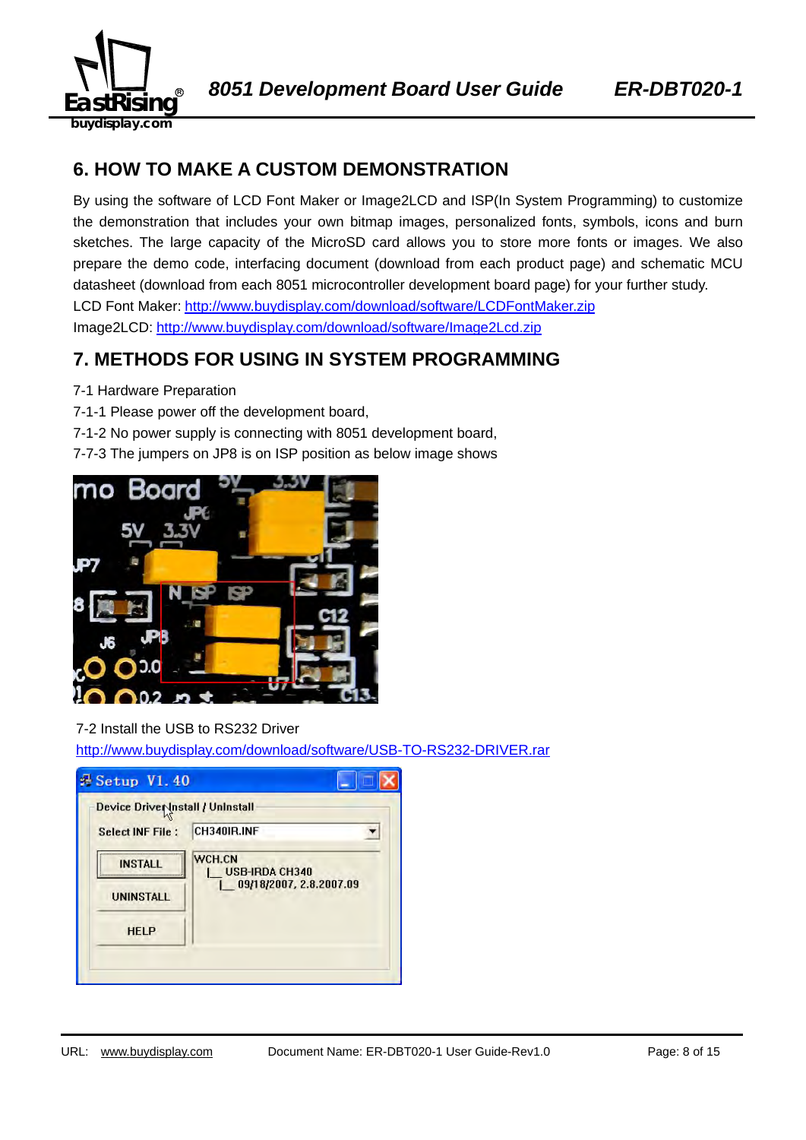

## **6. HOW TO MAKE A CUSTOM DEMONSTRATION**

By using the software of LCD Font Maker or Image2LCD and ISP(In System Programming) to customize the demonstration that includes your own bitmap images, personalized fonts, symbols, icons and burn sketches. The large capacity of the MicroSD card allows you to store more fonts or images. We also prepare the demo code, interfacing document (download from each product page) and schematic MCU datasheet (download from each 8051 microcontroller development board page) for your further study. LCD Font Maker: http://www.buydisplay.com/download/software/LCDFontMaker.zip Image2LCD: http://www.buydisplay.com/download/software/Image2Lcd.zip

### **7. METHODS FOR USING IN SYSTEM PROGRAMMING**

- 7-1 Hardware Preparation
- 7-1-1 Please power off the development board,
- 7-1-2 No power supply is connecting with 8051 development board,
- 7-7-3 The jumpers on JP8 is on ISP position as below image shows



#### 7-2 Install the USB to RS232 Driver

http://www.buydisplay.com/download/software/USB-TO-RS232-DRIVER.rar

| Device Driver Install / Uninstall |                                 |
|-----------------------------------|---------------------------------|
| <b>Select INF File:</b>           | CH340IR.INF                     |
| <b>INSTALL</b>                    | WCH.CN<br><b>USB-IRDA CH340</b> |
| <b>UNINSTALL</b>                  | 09/18/2007, 2.8.2007.09         |
| <b>HELP</b>                       |                                 |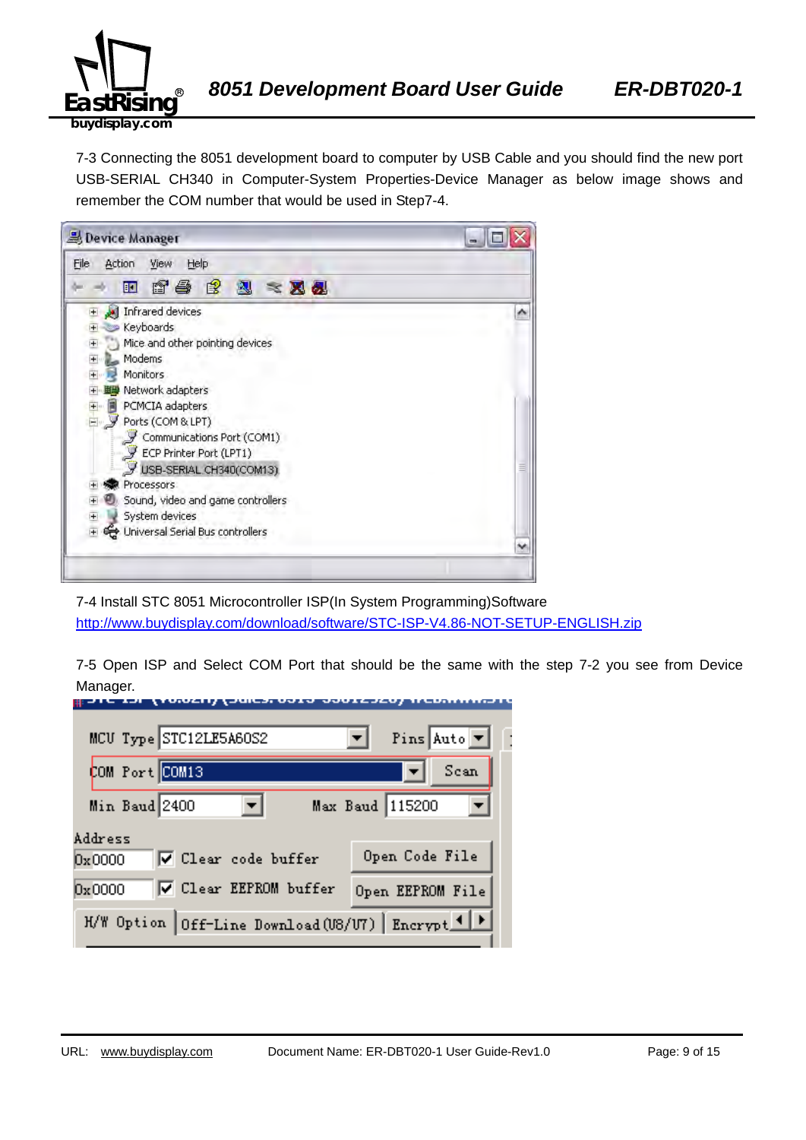

7-3 Connecting the 8051 development board to computer by USB Cable and you should find the new port USB-SERIAL CH340 in Computer-System Properties-Device Manager as below image shows and remember the COM number that would be used in Step7-4.



7-4 Install STC 8051 Microcontroller ISP(In System Programming)Software http://www.buydisplay.com/download/software/STC-ISP-V4.86-NOT-SETUP-ENGLISH.zip

7-5 Open ISP and Select COM Port that should be the same with the step 7-2 you see from Device Manager.

| MCU Type STC12LE5A60S2                            | Pins Auto $\boxed{\mathbf{v}}$ |
|---------------------------------------------------|--------------------------------|
| COM Port COM13                                    | Scan                           |
| Min Baud 2400                                     | Max Baud 115200                |
| Address<br>V Clear code buffer<br>0x0000          | Open Code File                 |
| <b>▽</b> Clear EEPROM buffer<br>0x0000            | Open EEPROM File               |
| H/W Option Off-Line Download (U8/U7) Encrypt 1  > |                                |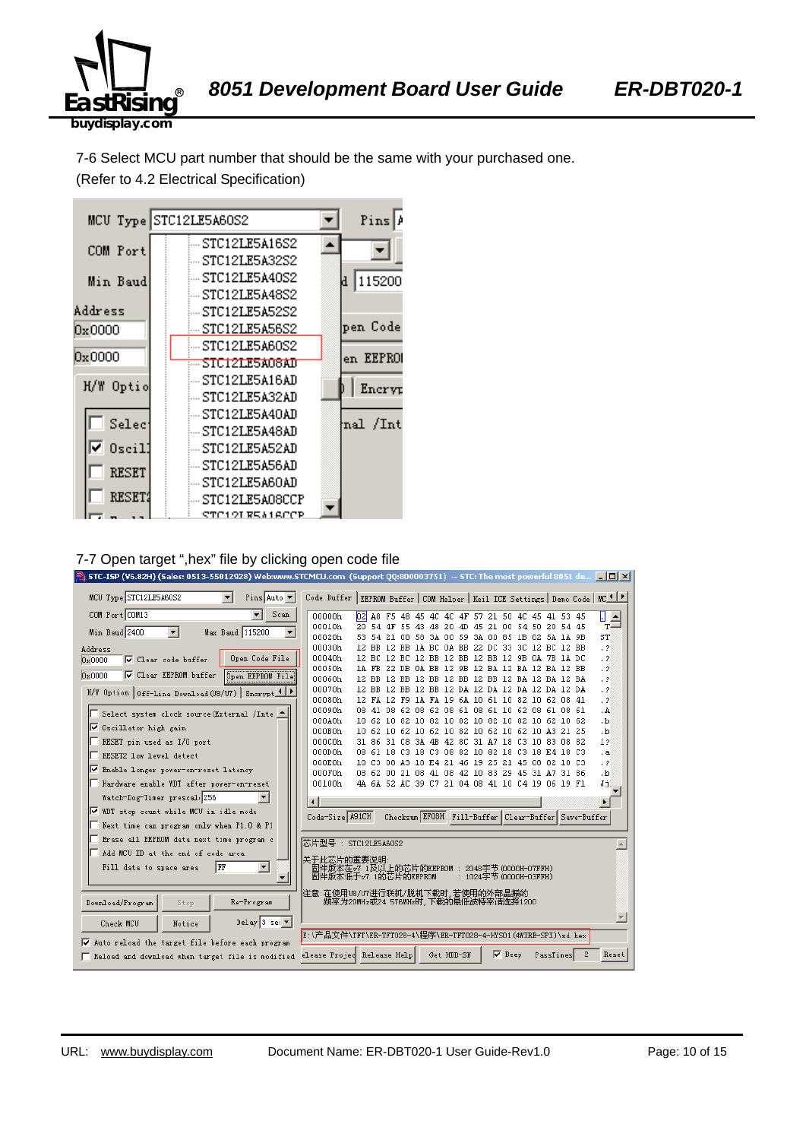

7-6 Select MCU part number that should be the same with your purchased one. (Refer to 4.2 Electrical Specification)



#### 7-7 Open target ",hex" file by clicking open code file

| . STC-ISP (V6.82H) (Sales: 0513-55012928) Web:www.STCMCU.com(Support QQ:800003751)-- STC: The most powerful 8051 de… $\Box$ $\Box$ $\boxtimes$ |                                                                                                |                                                                                                    |                                                     |            |                        |           |          |   |                            |
|------------------------------------------------------------------------------------------------------------------------------------------------|------------------------------------------------------------------------------------------------|----------------------------------------------------------------------------------------------------|-----------------------------------------------------|------------|------------------------|-----------|----------|---|----------------------------|
| MCU Type STC12LE5A60S2<br>$\blacktriangledown$<br>Pins Auto $\blacktriangledown$                                                               | Code Buffer   EEPROM Buffer   COM Helper   Keil ICE Settings   Demo Code   MC <sup>1   P</sup> |                                                                                                    |                                                     |            |                        |           |          |   |                            |
| COM Port COM13<br>Scan                                                                                                                         | 00000h                                                                                         | 02 A8 F5 48 45 4C 4C 4F 57 21 50 4C 45                                                             |                                                     |            |                        |           | 41 53 45 |   | П<br>$\frac{1}{T}$         |
| Min Baud 2400<br>Max Baud 115200                                                                                                               | 00010h                                                                                         | 20 54 4F 55 43 48 20 4D 45 21 00 54 50 20 54 45                                                    |                                                     |            |                        |           |          |   |                            |
|                                                                                                                                                | 00020h                                                                                         |                                                                                                    | 53 54 21 00 58 3A 00 59 3A 00 85 1B 02 5A 1A 9B     |            |                        |           |          |   | ST                         |
| Address                                                                                                                                        | 00030h                                                                                         | 12 BB 12 BB 1A BC 0A BB 22 DC 33 3C 12 BC 12 BB                                                    |                                                     |            |                        |           |          |   | $\cdot$ 2                  |
| Open Code File<br>☑ Clear code buffer<br>0x0000                                                                                                | 00040h<br>00050h                                                                               | 12 BC 12 BC 12 BB 12 BB 12 BB 12 9B 0A 7B 1A DC<br>1A FB 22 DB 0A BB 12 9B 12 BA 12 BA 12 BA 12 BB |                                                     |            |                        |           |          |   | $\cdot$ ?<br>$\cdot$ 2     |
| <b>V</b> Clear EEPROM buffer<br>0x0000<br><b>Open EEPROM File</b>                                                                              | 00060h                                                                                         | 12 BB 12 BB 12 BB 12 BB 12 BB 12 BA 12 BA 12 BA                                                    |                                                     |            |                        |           |          |   | $\cdot$ ?                  |
|                                                                                                                                                | 00070h                                                                                         | 12 BB 12 BB 12 BB 12 DA 12 DA 12 DA 12 DA 12 DA                                                    |                                                     |            |                        |           |          |   | $\cdot$ 2                  |
| H/W Option   Off-Line Download (U8/U7)   Encrypt 1                                                                                             | 00080h                                                                                         | 12 FA 12 F9 1A FA 19 6A 10 61 10 82 10 62 08 41                                                    |                                                     |            |                        |           |          |   | $\cdot$ ?                  |
| Select system clock source (External /Inte                                                                                                     | 00090h                                                                                         | 08 41 08 62 08 62 08 61 08 61 10 62 08 61 08 61                                                    |                                                     |            |                        |           |          |   | . A                        |
|                                                                                                                                                | 000A0h                                                                                         | 10 62 10 82 10 82 10 82 10 82 10 82 10 62 10 62                                                    |                                                     |            |                        |           |          |   | $\cdot$ <sub>b</sub>       |
| Ⅳ Oscillator high gain                                                                                                                         | 000B0h                                                                                         | 10 62 10 62 10 62 10 82 10 62 10 62 10 A3 21 25                                                    |                                                     |            |                        |           |          |   | $\cdot$ <sub>b</sub>       |
| RESET pin used as I/O port                                                                                                                     | 000C0h                                                                                         | 31 86 31 C8 3A 4B 42 8C 31 A7 18 C3 10 83 08 82                                                    |                                                     |            |                        |           |          |   | 12                         |
| RESET2 low level detect                                                                                                                        | 000D0h                                                                                         | 08 61 18 C3 18 C3 08 82 10 82 18 C3 18 E4 18 C3                                                    |                                                     |            |                        |           |          |   | . а                        |
| ll⊽<br>Enable longer power-on-reset latency                                                                                                    | 000E0h<br>000F0h                                                                               | 10 C3 08 A3 18 E4 21 46 19 25 21 45 08 82 10 C3<br>08 62 00 21 08 41 08 42 10 83 29 45 31 A7 31 86 |                                                     |            |                        |           |          |   | $\cdot$ ?                  |
| Hardware enable WDT after power-on-reset                                                                                                       | 00100h                                                                                         |                                                                                                    | 4A 6A 52 AC 39 C7 21 04 08 41 10 C4 19 06 19 F1     |            |                        |           |          |   | $\cdot$ <sub>b</sub><br>Jj |
|                                                                                                                                                |                                                                                                |                                                                                                    |                                                     |            |                        |           |          |   |                            |
| Watch-Dog-Timer prescal 256                                                                                                                    | $\blacksquare$                                                                                 |                                                                                                    |                                                     |            |                        |           |          |   | $\blacktriangleright$      |
| ⊽<br>WDT stop count while MCU in idle mode                                                                                                     | Code-Size A91CH                                                                                |                                                                                                    | Checksum EFOBH Fill-Buffer Clear-Buffer Save-Buffer |            |                        |           |          |   |                            |
| Next time can program only when P1.0 & P1                                                                                                      |                                                                                                |                                                                                                    |                                                     |            |                        |           |          |   |                            |
| Erase all EEPROM data next time program c                                                                                                      | 芯片型号: STC12LE5A60S2                                                                            |                                                                                                    |                                                     |            |                        |           |          |   |                            |
| Add MCU ID at the end of code area                                                                                                             | 关于此芯片的重要说明                                                                                     |                                                                                                    |                                                     |            |                        |           |          |   |                            |
| $\blacktriangledown$<br>  FF<br>Fill data to space area                                                                                        | 固件版本在v7.1及以上的芯片的EEPROM : 2048字节(0000H-07FFH)                                                   |                                                                                                    |                                                     |            |                        |           |          |   |                            |
|                                                                                                                                                | 固件版本低于v7.1的芯片的EEPROM                                                                           |                                                                                                    |                                                     |            | : 1024字节 (0000H-03FFH) |           |          |   |                            |
|                                                                                                                                                | 注意:在使用U8/U7进行联机/脱机下载时,若使用的外部晶振的                                                                |                                                                                                    |                                                     |            |                        |           |          |   |                            |
| Re-Program<br>Download/Program<br>Stop                                                                                                         | 频率为20MHz或24.576MHz时,下载的最低波特率请选择1200                                                            |                                                                                                    |                                                     |            |                        |           |          |   |                            |
| Delay 3 sec $\overline{\phantom{a}}$<br>Check MCU<br>Notice                                                                                    |                                                                                                |                                                                                                    |                                                     |            |                        |           |          |   |                            |
|                                                                                                                                                | E:\产品文件\TFT\ER-TFT028-4\程序\ER-TFT028-4-HYS01 (4WIRE-SPI)\sd.hex                                |                                                                                                    |                                                     |            |                        |           |          |   |                            |
| Auto reload the target file before each program<br>⊽                                                                                           |                                                                                                |                                                                                                    |                                                     |            |                        |           |          |   |                            |
| Reload and download when target file is modified                                                                                               | elease Projec Release Help                                                                     |                                                                                                    |                                                     | Get HDD-SN | $\nabla$ Beep          | PassTimes |          | 2 | Reset                      |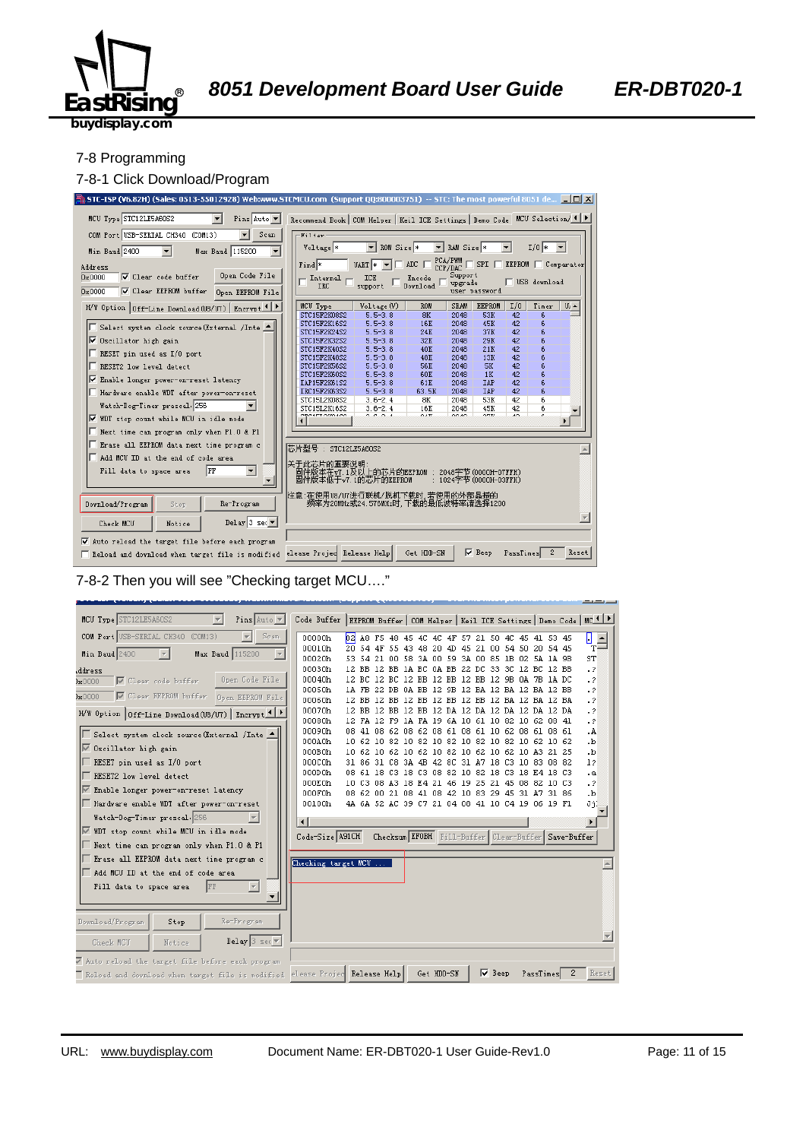

#### 7-8 Programming

#### 7-8-1 Click Download/Program



#### 7-8-2 Then you will see "Checking target MCU…."

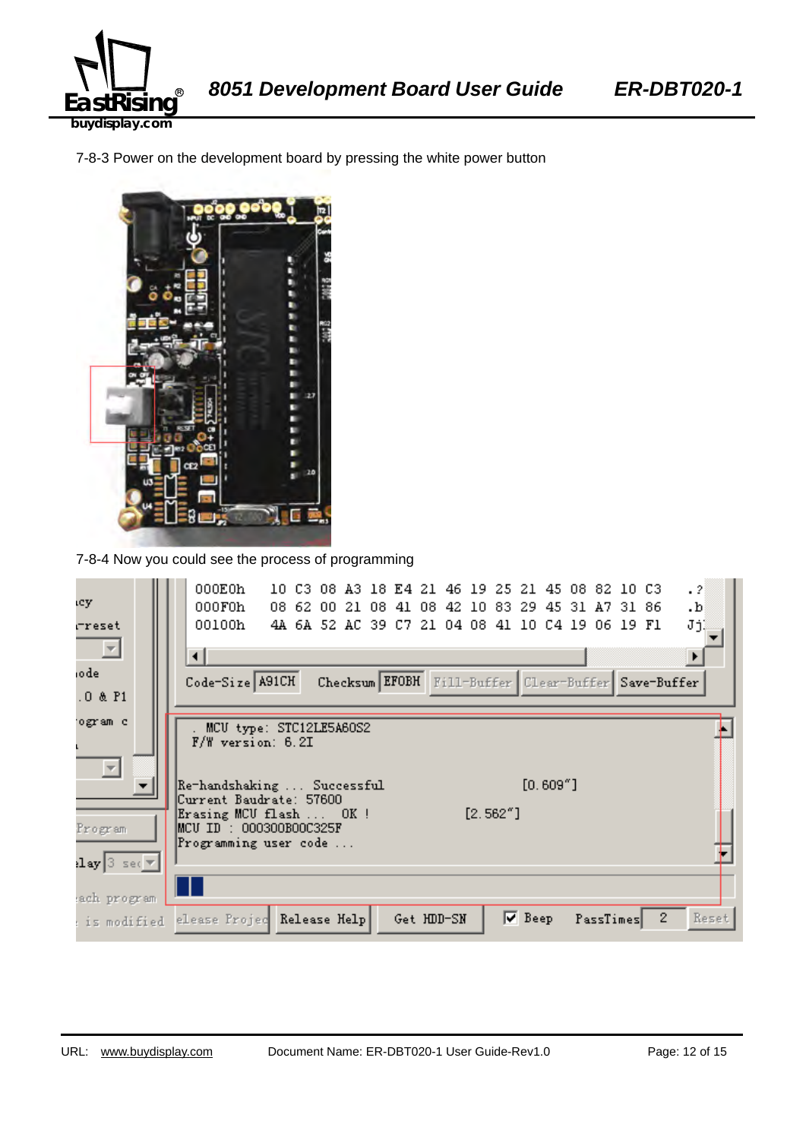

7-8-3 Power on the development board by pressing the white power button



7-8-4 Now you could see the process of programming

| ιcy.                                   | 000E0h<br>$\cdot$ 2<br>10 C3 08 A3 18 E4 21 46 19 25 21 45 08 82 10 C3<br>000F0h<br>08 62 00 21 08 41 08<br>42 10 83 29 45 31 A7 31 86<br>.b |
|----------------------------------------|----------------------------------------------------------------------------------------------------------------------------------------------|
| rreset                                 | 00100h<br>JjĮ<br>4A 6A 52 AC 39 C7 21 04 08 41 10 C4 19 06 19 F1                                                                             |
| $\overline{\phantom{a}}$               | ⊣<br>$\ddot{\phantom{1}}$                                                                                                                    |
| iodel                                  | Code-Size A91CH<br>Checksum EFOBH Fill-Buffer Clear-Buffer Save-Buffer                                                                       |
| $.0$ & $P1$                            |                                                                                                                                              |
| ogram c                                | . MCU type: STC12LE5A60S2                                                                                                                    |
|                                        | $F/W$ version: 6.2I                                                                                                                          |
| $\overline{\phantom{a}}$               |                                                                                                                                              |
|                                        | $[0.609"$ ]<br> Re-handshaking  Successful                                                                                                   |
|                                        | Current Baudrate: 57600<br>$[2.562"$ ]<br>Erasing MCU flash  OK !                                                                            |
| Program                                | MCU ID : 000300B00C325F                                                                                                                      |
|                                        | Programming user code                                                                                                                        |
| $\texttt{lay}$ 3 sec $\bm{\mathrm{v}}$ |                                                                                                                                              |
| ach program                            |                                                                                                                                              |
| : is modified                          | $\nabla$ Beep<br>$\mathbf{2}$<br>Reset<br>elease Projec Release Help<br>Get HDD-SN<br>PassTimes                                              |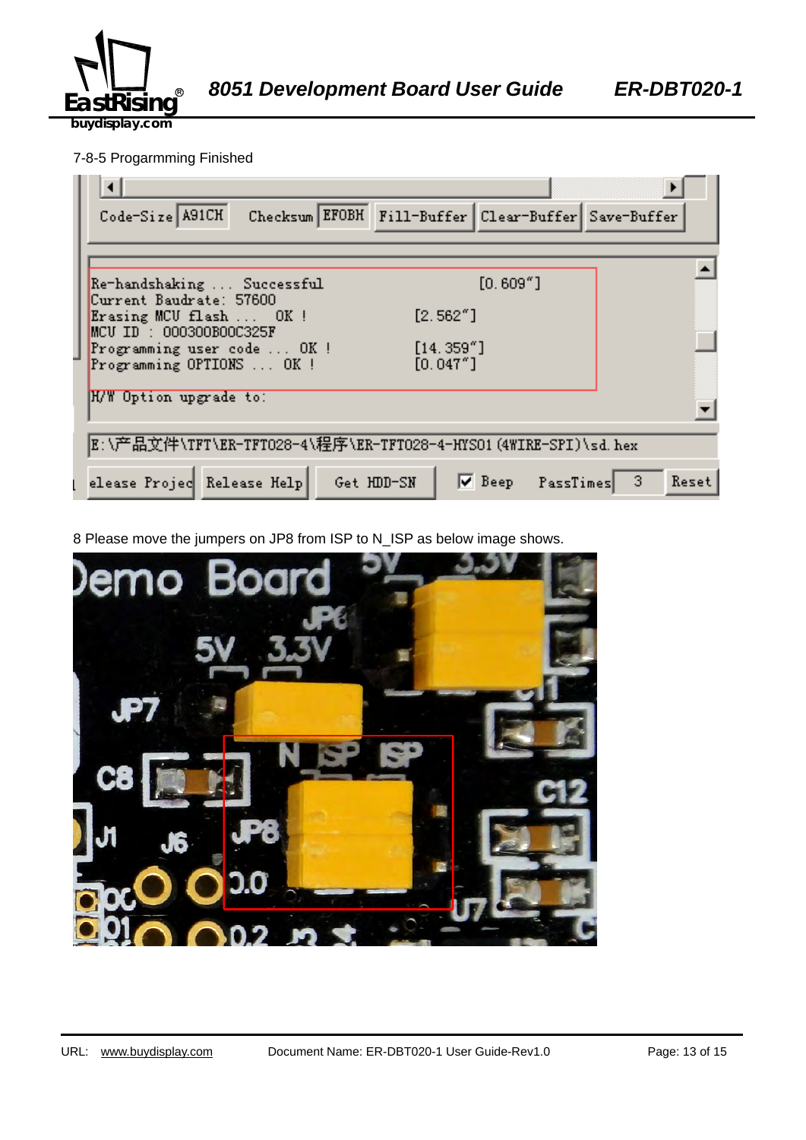

#### 7-8-5 Progarmming Finished

| Checksum EFOBH Fill-Buffer Clear-Buffer Save-Buffer<br>Code-Size A91CH                                 |
|--------------------------------------------------------------------------------------------------------|
|                                                                                                        |
| $[0.609"$ ]<br>Re-handshaking  Successful<br>Current Baudrate: 57600                                   |
| [2.562"]<br>Erasing MCU flash  OK !<br>$MCU$ ID : 000300B00C325F                                       |
| [14.359'']<br>Programming user code  OK !<br>[0.047"]<br>Programming OPTIONS  OK !                     |
| H/W Option upgrade to:                                                                                 |
| E:\产品文件\TFT\ER-TFTO28-4\程序\ER-TFTO28-4-HYSO1(4WIRE-SPI)\sd.hex                                         |
| $\nabla$ Beep PassTimes<br>elease Projec Release Help<br>$\blacktriangleleft$ 3<br>Get HDD-SN<br>Reset |

8 Please move the jumpers on JP8 from ISP to N\_ISP as below image shows.

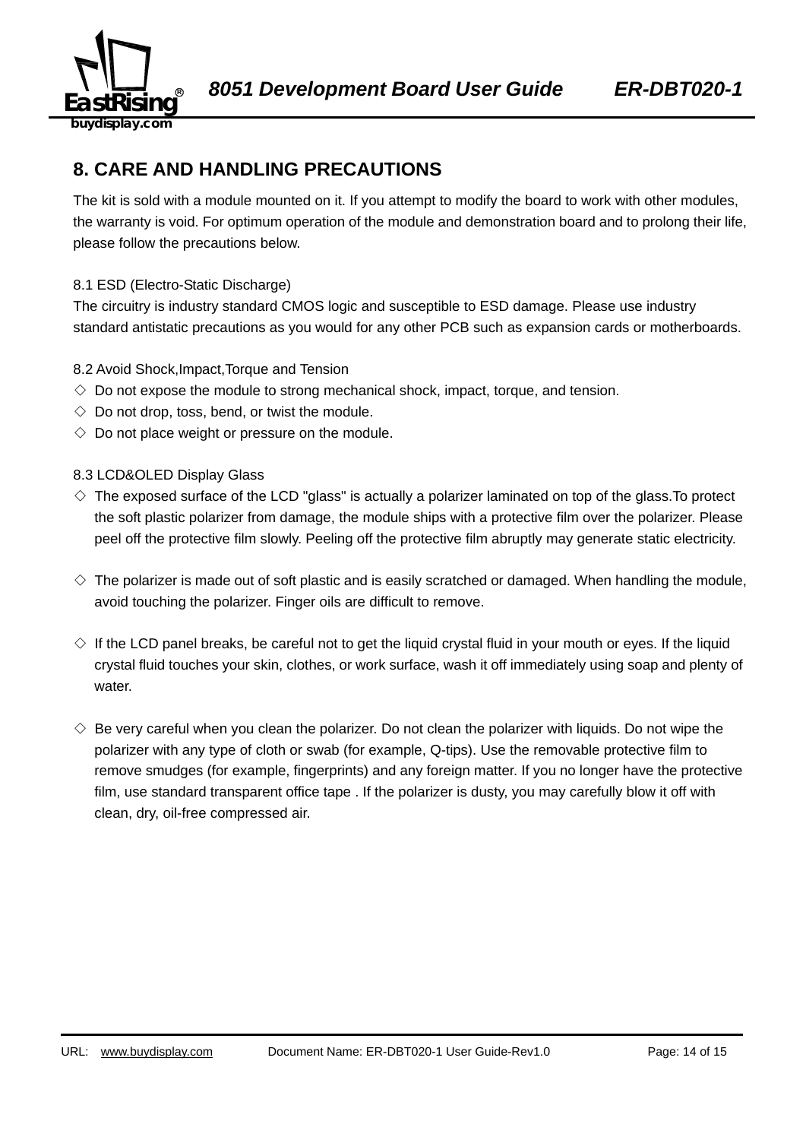

### **8. CARE AND HANDLING PRECAUTIONS**

The kit is sold with a module mounted on it. If you attempt to modify the board to work with other modules, the warranty is void. For optimum operation of the module and demonstration board and to prolong their life, please follow the precautions below.

#### 8.1 ESD (Electro-Static Discharge)

The circuitry is industry standard CMOS logic and susceptible to ESD damage. Please use industry standard antistatic precautions as you would for any other PCB such as expansion cards or motherboards.

#### 8.2 Avoid Shock,Impact,Torque and Tension

- $\Diamond$  Do not expose the module to strong mechanical shock, impact, torque, and tension.
- $\Diamond$  Do not drop, toss, bend, or twist the module.
- $\Diamond$  Do not place weight or pressure on the module.

#### 8.3 LCD&OLED Display Glass

- $\diamond$  The exposed surface of the LCD "glass" is actually a polarizer laminated on top of the glass. To protect the soft plastic polarizer from damage, the module ships with a protective film over the polarizer. Please peel off the protective film slowly. Peeling off the protective film abruptly may generate static electricity.
- $\diamond$  The polarizer is made out of soft plastic and is easily scratched or damaged. When handling the module, avoid touching the polarizer. Finger oils are difficult to remove.
- $\Diamond$  If the LCD panel breaks, be careful not to get the liquid crystal fluid in your mouth or eyes. If the liquid crystal fluid touches your skin, clothes, or work surface, wash it off immediately using soap and plenty of water.
- $\diamondsuit$  Be very careful when you clean the polarizer. Do not clean the polarizer with liquids. Do not wipe the polarizer with any type of cloth or swab (for example, Q-tips). Use the removable protective film to remove smudges (for example, fingerprints) and any foreign matter. If you no longer have the protective film, use standard transparent office tape . If the polarizer is dusty, you may carefully blow it off with clean, dry, oil-free compressed air.